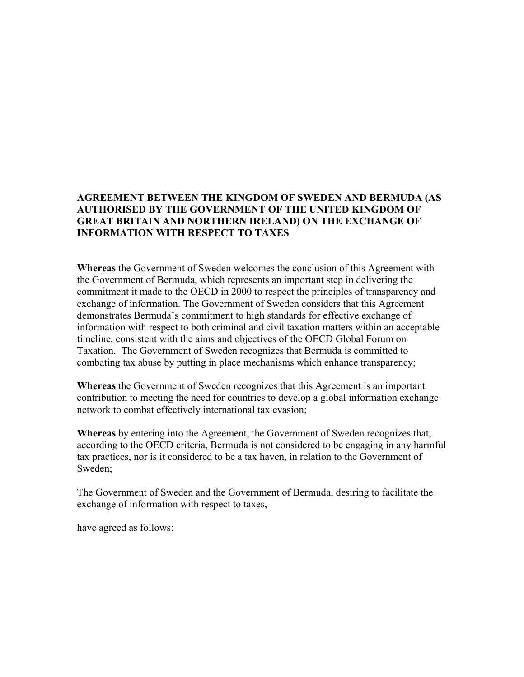# **AGREEMENT BETWEEN THE KINGDOM OF SWEDEN AND BERMUDA (AS AUTHORISED BY THE GOVERNMENT OF THE UNITED KINGDOM OF GREAT BRITAIN AND NORTHERN IRELAND) ON THE EXCHANGE OF INFORMATION WITH RESPECT TO TAXES**

**Whereas** the Government of Sweden welcomes the conclusion of this Agreement with the Government of Bermuda, which represents an important step in delivering the commitment it made to the OECD in 2000 to respect the principles of transparency and exchange of information. The Government of Sweden considers that this Agreement demonstrates Bermuda's commitment to high standards for effective exchange of information with respect to both criminal and civil taxation matters within an acceptable timeline, consistent with the aims and objectives of the OECD Global Forum on Taxation. The Government of Sweden recognizes that Bermuda is committed to combating tax abuse by putting in place mechanisms which enhance transparency;

**Whereas** the Government of Sweden recognizes that this Agreement is an important contribution to meeting the need for countries to develop a global information exchange network to combat effectively international tax evasion;

**Whereas** by entering into the Agreement, the Government of Sweden recognizes that, according to the OECD criteria, Bermuda is not considered to be engaging in any harmful tax practices, nor is it considered to be a tax haven, in relation to the Government of Sweden;

The Government of Sweden and the Government of Bermuda, desiring to facilitate the exchange of information with respect to taxes,

have agreed as follows: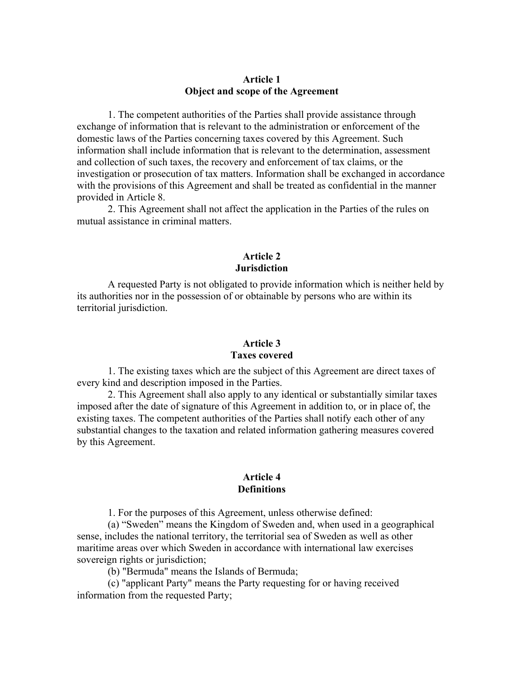### **Article 1 Object and scope of the Agreement**

1. The competent authorities of the Parties shall provide assistance through exchange of information that is relevant to the administration or enforcement of the domestic laws of the Parties concerning taxes covered by this Agreement. Such information shall include information that is relevant to the determination, assessment and collection of such taxes, the recovery and enforcement of tax claims, or the investigation or prosecution of tax matters. Information shall be exchanged in accordance with the provisions of this Agreement and shall be treated as confidential in the manner provided in Article 8.

2. This Agreement shall not affect the application in the Parties of the rules on mutual assistance in criminal matters.

# **Article 2 Jurisdiction**

A requested Party is not obligated to provide information which is neither held by its authorities nor in the possession of or obtainable by persons who are within its territorial jurisdiction.

## **Article 3 Taxes covered**

1. The existing taxes which are the subject of this Agreement are direct taxes of every kind and description imposed in the Parties.

2. This Agreement shall also apply to any identical or substantially similar taxes imposed after the date of signature of this Agreement in addition to, or in place of, the existing taxes. The competent authorities of the Parties shall notify each other of any substantial changes to the taxation and related information gathering measures covered by this Agreement.

#### **Article 4 Definitions**

1. For the purposes of this Agreement, unless otherwise defined:

(a) "Sweden" means the Kingdom of Sweden and, when used in a geographical sense, includes the national territory, the territorial sea of Sweden as well as other maritime areas over which Sweden in accordance with international law exercises sovereign rights or jurisdiction;

(b) "Bermuda" means the Islands of Bermuda;

(c) "applicant Party" means the Party requesting for or having received information from the requested Party;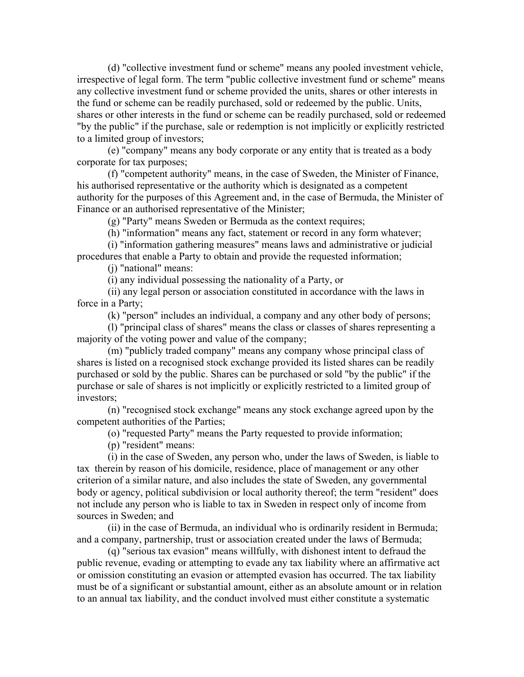(d) "collective investment fund or scheme" means any pooled investment vehicle, irrespective of legal form. The term "public collective investment fund or scheme" means any collective investment fund or scheme provided the units, shares or other interests in the fund or scheme can be readily purchased, sold or redeemed by the public. Units, shares or other interests in the fund or scheme can be readily purchased, sold or redeemed "by the public" if the purchase, sale or redemption is not implicitly or explicitly restricted to a limited group of investors;

(e) "company" means any body corporate or any entity that is treated as a body corporate for tax purposes;

(f) "competent authority" means, in the case of Sweden, the Minister of Finance, his authorised representative or the authority which is designated as a competent authority for the purposes of this Agreement and, in the case of Bermuda, the Minister of Finance or an authorised representative of the Minister;

(g) "Party" means Sweden or Bermuda as the context requires;

(h) "information" means any fact, statement or record in any form whatever;

(i) "information gathering measures" means laws and administrative or judicial procedures that enable a Party to obtain and provide the requested information;

(j) "national" means:

(i) any individual possessing the nationality of a Party, or

(ii) any legal person or association constituted in accordance with the laws in force in a Party;

(k) "person" includes an individual, a company and any other body of persons;

(l) "principal class of shares" means the class or classes of shares representing a majority of the voting power and value of the company;

(m) "publicly traded company" means any company whose principal class of shares is listed on a recognised stock exchange provided its listed shares can be readily purchased or sold by the public. Shares can be purchased or sold "by the public" if the purchase or sale of shares is not implicitly or explicitly restricted to a limited group of investors;

(n) "recognised stock exchange" means any stock exchange agreed upon by the competent authorities of the Parties;

(o) "requested Party" means the Party requested to provide information;

(p) "resident" means:

(i) in the case of Sweden, any person who, under the laws of Sweden, is liable to tax therein by reason of his domicile, residence, place of management or any other criterion of a similar nature, and also includes the state of Sweden, any governmental body or agency, political subdivision or local authority thereof; the term "resident" does not include any person who is liable to tax in Sweden in respect only of income from sources in Sweden; and

(ii) in the case of Bermuda, an individual who is ordinarily resident in Bermuda; and a company, partnership, trust or association created under the laws of Bermuda;

(q) "serious tax evasion" means willfully, with dishonest intent to defraud the public revenue, evading or attempting to evade any tax liability where an affirmative act or omission constituting an evasion or attempted evasion has occurred. The tax liability must be of a significant or substantial amount, either as an absolute amount or in relation to an annual tax liability, and the conduct involved must either constitute a systematic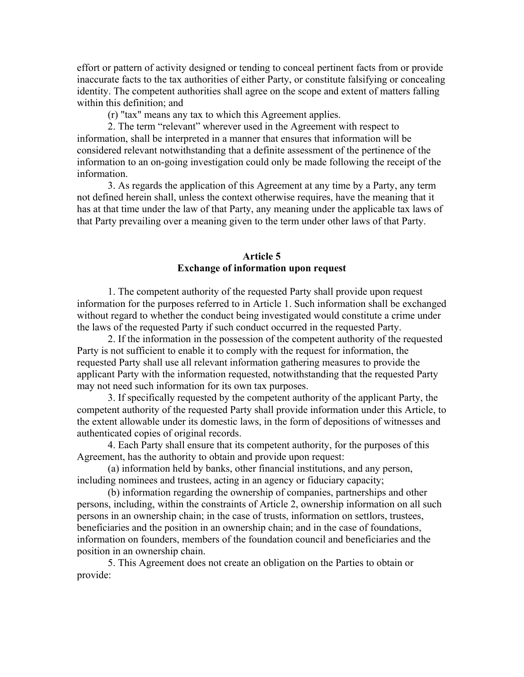effort or pattern of activity designed or tending to conceal pertinent facts from or provide inaccurate facts to the tax authorities of either Party, or constitute falsifying or concealing identity. The competent authorities shall agree on the scope and extent of matters falling within this definition; and

(r) "tax" means any tax to which this Agreement applies.

2. The term "relevant" wherever used in the Agreement with respect to information, shall be interpreted in a manner that ensures that information will be considered relevant notwithstanding that a definite assessment of the pertinence of the information to an on-going investigation could only be made following the receipt of the information.

3. As regards the application of this Agreement at any time by a Party, any term not defined herein shall, unless the context otherwise requires, have the meaning that it has at that time under the law of that Party, any meaning under the applicable tax laws of that Party prevailing over a meaning given to the term under other laws of that Party.

### **Article 5 Exchange of information upon request**

1. The competent authority of the requested Party shall provide upon request information for the purposes referred to in Article 1. Such information shall be exchanged without regard to whether the conduct being investigated would constitute a crime under the laws of the requested Party if such conduct occurred in the requested Party.

2. If the information in the possession of the competent authority of the requested Party is not sufficient to enable it to comply with the request for information, the requested Party shall use all relevant information gathering measures to provide the applicant Party with the information requested, notwithstanding that the requested Party may not need such information for its own tax purposes.

3. If specifically requested by the competent authority of the applicant Party, the competent authority of the requested Party shall provide information under this Article, to the extent allowable under its domestic laws, in the form of depositions of witnesses and authenticated copies of original records.

4. Each Party shall ensure that its competent authority, for the purposes of this Agreement, has the authority to obtain and provide upon request:

(a) information held by banks, other financial institutions, and any person, including nominees and trustees, acting in an agency or fiduciary capacity;

(b) information regarding the ownership of companies, partnerships and other persons, including, within the constraints of Article 2, ownership information on all such persons in an ownership chain; in the case of trusts, information on settlors, trustees, beneficiaries and the position in an ownership chain; and in the case of foundations, information on founders, members of the foundation council and beneficiaries and the position in an ownership chain.

5. This Agreement does not create an obligation on the Parties to obtain or provide: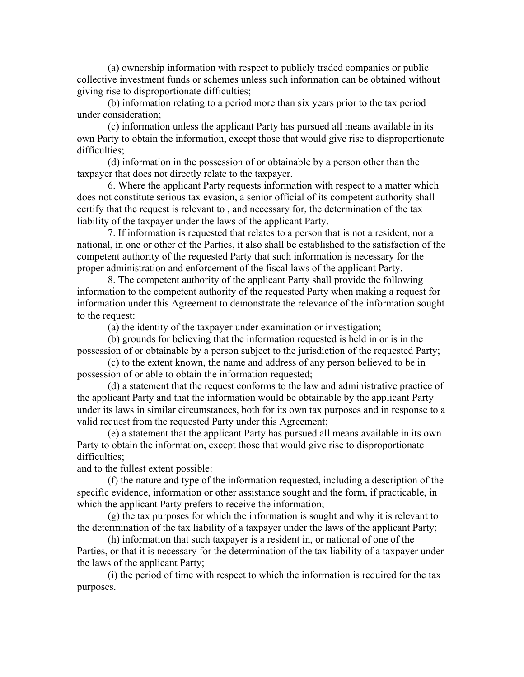(a) ownership information with respect to publicly traded companies or public collective investment funds or schemes unless such information can be obtained without giving rise to disproportionate difficulties;

(b) information relating to a period more than six years prior to the tax period under consideration;

(c) information unless the applicant Party has pursued all means available in its own Party to obtain the information, except those that would give rise to disproportionate difficulties;

(d) information in the possession of or obtainable by a person other than the taxpayer that does not directly relate to the taxpayer.

6. Where the applicant Party requests information with respect to a matter which does not constitute serious tax evasion, a senior official of its competent authority shall certify that the request is relevant to , and necessary for, the determination of the tax liability of the taxpayer under the laws of the applicant Party.

7. If information is requested that relates to a person that is not a resident, nor a national, in one or other of the Parties, it also shall be established to the satisfaction of the competent authority of the requested Party that such information is necessary for the proper administration and enforcement of the fiscal laws of the applicant Party.

8. The competent authority of the applicant Party shall provide the following information to the competent authority of the requested Party when making a request for information under this Agreement to demonstrate the relevance of the information sought to the request:

(a) the identity of the taxpayer under examination or investigation;

(b) grounds for believing that the information requested is held in or is in the possession of or obtainable by a person subject to the jurisdiction of the requested Party;

(c) to the extent known, the name and address of any person believed to be in possession of or able to obtain the information requested;

(d) a statement that the request conforms to the law and administrative practice of the applicant Party and that the information would be obtainable by the applicant Party under its laws in similar circumstances, both for its own tax purposes and in response to a valid request from the requested Party under this Agreement;

(e) a statement that the applicant Party has pursued all means available in its own Party to obtain the information, except those that would give rise to disproportionate difficulties;

and to the fullest extent possible:

(f) the nature and type of the information requested, including a description of the specific evidence, information or other assistance sought and the form, if practicable, in which the applicant Party prefers to receive the information;

(g) the tax purposes for which the information is sought and why it is relevant to the determination of the tax liability of a taxpayer under the laws of the applicant Party;

(h) information that such taxpayer is a resident in, or national of one of the Parties, or that it is necessary for the determination of the tax liability of a taxpayer under the laws of the applicant Party;

(i) the period of time with respect to which the information is required for the tax purposes.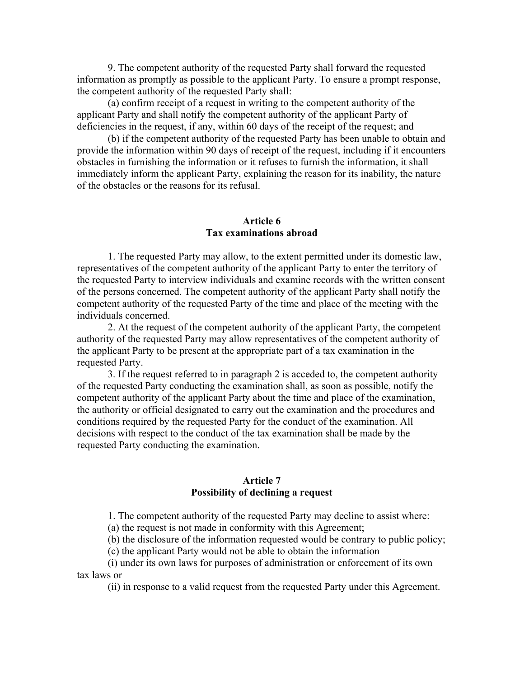9. The competent authority of the requested Party shall forward the requested information as promptly as possible to the applicant Party. To ensure a prompt response, the competent authority of the requested Party shall:

(a) confirm receipt of a request in writing to the competent authority of the applicant Party and shall notify the competent authority of the applicant Party of deficiencies in the request, if any, within 60 days of the receipt of the request; and

(b) if the competent authority of the requested Party has been unable to obtain and provide the information within 90 days of receipt of the request, including if it encounters obstacles in furnishing the information or it refuses to furnish the information, it shall immediately inform the applicant Party, explaining the reason for its inability, the nature of the obstacles or the reasons for its refusal.

# **Article 6 Tax examinations abroad**

1. The requested Party may allow, to the extent permitted under its domestic law, representatives of the competent authority of the applicant Party to enter the territory of the requested Party to interview individuals and examine records with the written consent of the persons concerned. The competent authority of the applicant Party shall notify the competent authority of the requested Party of the time and place of the meeting with the individuals concerned.

2. At the request of the competent authority of the applicant Party, the competent authority of the requested Party may allow representatives of the competent authority of the applicant Party to be present at the appropriate part of a tax examination in the requested Party.

3. If the request referred to in paragraph 2 is acceded to, the competent authority of the requested Party conducting the examination shall, as soon as possible, notify the competent authority of the applicant Party about the time and place of the examination, the authority or official designated to carry out the examination and the procedures and conditions required by the requested Party for the conduct of the examination. All decisions with respect to the conduct of the tax examination shall be made by the requested Party conducting the examination.

#### **Article 7 Possibility of declining a request**

1. The competent authority of the requested Party may decline to assist where:

(a) the request is not made in conformity with this Agreement;

(b) the disclosure of the information requested would be contrary to public policy;

(c) the applicant Party would not be able to obtain the information

(i) under its own laws for purposes of administration or enforcement of its own tax laws or

(ii) in response to a valid request from the requested Party under this Agreement.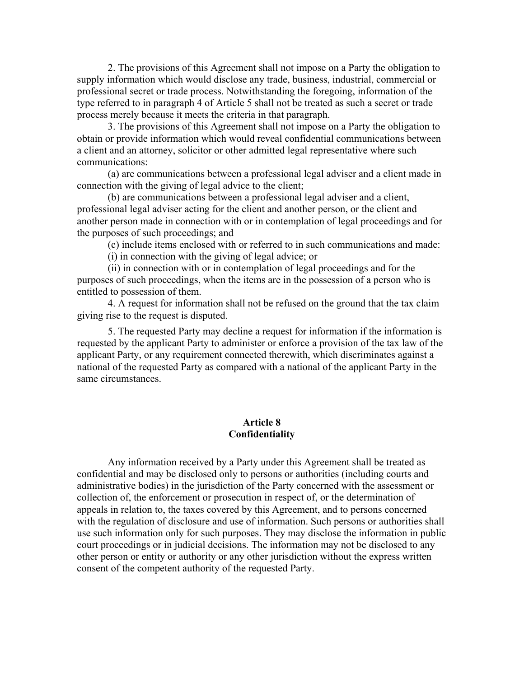2. The provisions of this Agreement shall not impose on a Party the obligation to supply information which would disclose any trade, business, industrial, commercial or professional secret or trade process. Notwithstanding the foregoing, information of the type referred to in paragraph 4 of Article 5 shall not be treated as such a secret or trade process merely because it meets the criteria in that paragraph.

3. The provisions of this Agreement shall not impose on a Party the obligation to obtain or provide information which would reveal confidential communications between a client and an attorney, solicitor or other admitted legal representative where such communications:

(a) are communications between a professional legal adviser and a client made in connection with the giving of legal advice to the client;

(b) are communications between a professional legal adviser and a client, professional legal adviser acting for the client and another person, or the client and another person made in connection with or in contemplation of legal proceedings and for the purposes of such proceedings; and

(c) include items enclosed with or referred to in such communications and made:

(i) in connection with the giving of legal advice; or

(ii) in connection with or in contemplation of legal proceedings and for the purposes of such proceedings, when the items are in the possession of a person who is entitled to possession of them.

4. A request for information shall not be refused on the ground that the tax claim giving rise to the request is disputed.

5. The requested Party may decline a request for information if the information is requested by the applicant Party to administer or enforce a provision of the tax law of the applicant Party, or any requirement connected therewith, which discriminates against a national of the requested Party as compared with a national of the applicant Party in the same circumstances.

### **Article 8 Confidentiality**

Any information received by a Party under this Agreement shall be treated as confidential and may be disclosed only to persons or authorities (including courts and administrative bodies) in the jurisdiction of the Party concerned with the assessment or collection of, the enforcement or prosecution in respect of, or the determination of appeals in relation to, the taxes covered by this Agreement, and to persons concerned with the regulation of disclosure and use of information. Such persons or authorities shall use such information only for such purposes. They may disclose the information in public court proceedings or in judicial decisions. The information may not be disclosed to any other person or entity or authority or any other jurisdiction without the express written consent of the competent authority of the requested Party.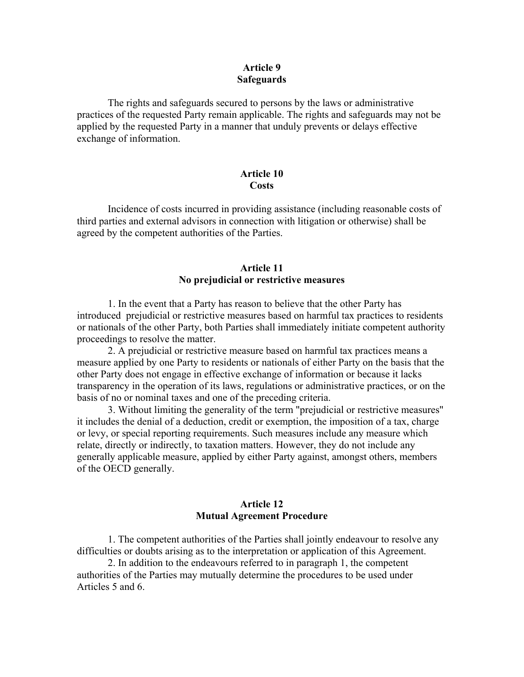### **Article 9 Safeguards**

The rights and safeguards secured to persons by the laws or administrative practices of the requested Party remain applicable. The rights and safeguards may not be applied by the requested Party in a manner that unduly prevents or delays effective exchange of information.

# **Article 10 Costs**

Incidence of costs incurred in providing assistance (including reasonable costs of third parties and external advisors in connection with litigation or otherwise) shall be agreed by the competent authorities of the Parties.

# **Article 11 No prejudicial or restrictive measures**

1. In the event that a Party has reason to believe that the other Party has introduced prejudicial or restrictive measures based on harmful tax practices to residents or nationals of the other Party, both Parties shall immediately initiate competent authority proceedings to resolve the matter.

2. A prejudicial or restrictive measure based on harmful tax practices means a measure applied by one Party to residents or nationals of either Party on the basis that the other Party does not engage in effective exchange of information or because it lacks transparency in the operation of its laws, regulations or administrative practices, or on the basis of no or nominal taxes and one of the preceding criteria.

3. Without limiting the generality of the term "prejudicial or restrictive measures" it includes the denial of a deduction, credit or exemption, the imposition of a tax, charge or levy, or special reporting requirements. Such measures include any measure which relate, directly or indirectly, to taxation matters. However, they do not include any generally applicable measure, applied by either Party against, amongst others, members of the OECD generally.

## **Article 12 Mutual Agreement Procedure**

1. The competent authorities of the Parties shall jointly endeavour to resolve any difficulties or doubts arising as to the interpretation or application of this Agreement.

2. In addition to the endeavours referred to in paragraph 1, the competent authorities of the Parties may mutually determine the procedures to be used under Articles 5 and 6.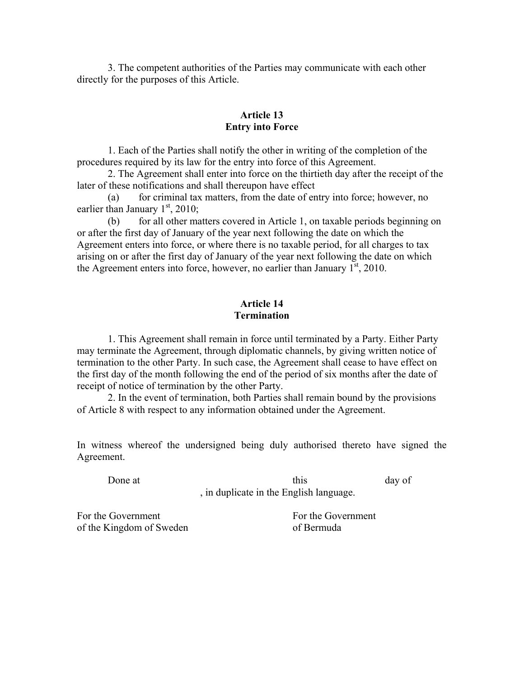3. The competent authorities of the Parties may communicate with each other directly for the purposes of this Article.

# **Article 13 Entry into Force**

1. Each of the Parties shall notify the other in writing of the completion of the procedures required by its law for the entry into force of this Agreement.

2. The Agreement shall enter into force on the thirtieth day after the receipt of the later of these notifications and shall thereupon have effect

(a) for criminal tax matters, from the date of entry into force; however, no earlier than January  $1<sup>st</sup>$ , 2010;

(b) for all other matters covered in Article 1, on taxable periods beginning on or after the first day of January of the year next following the date on which the Agreement enters into force, or where there is no taxable period, for all charges to tax arising on or after the first day of January of the year next following the date on which the Agreement enters into force, however, no earlier than January  $1<sup>st</sup>$ , 2010.

#### **Article 14 Termination**

1. This Agreement shall remain in force until terminated by a Party. Either Party may terminate the Agreement, through diplomatic channels, by giving written notice of termination to the other Party. In such case, the Agreement shall cease to have effect on the first day of the month following the end of the period of six months after the date of receipt of notice of termination by the other Party.

2. In the event of termination, both Parties shall remain bound by the provisions of Article 8 with respect to any information obtained under the Agreement.

In witness whereof the undersigned being duly authorised thereto have signed the Agreement.

Done at this day of , in duplicate in the English language.

For the Government For the Government of the Kingdom of Sweden of Bermuda